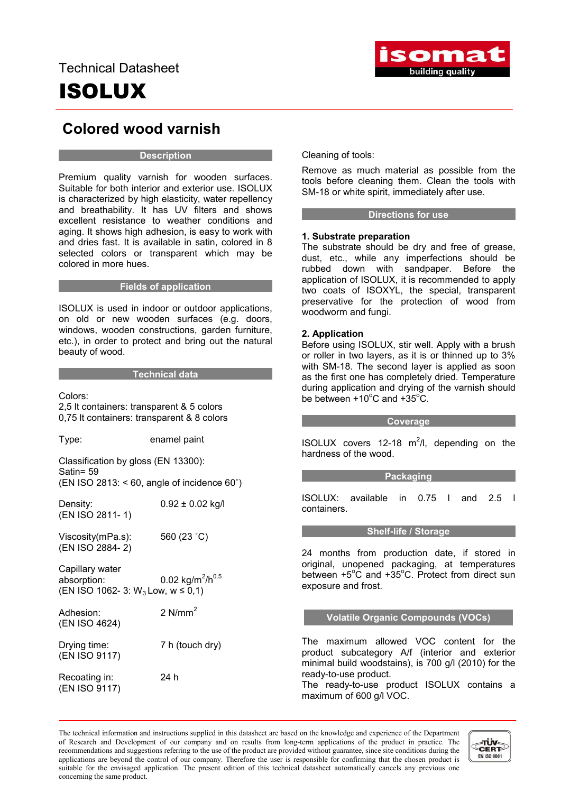# ISOLUX



### Colored wood varnish

#### **Description**

Premium quality varnish for wooden surfaces. Suitable for both interior and exterior use. ISOLUX is characterized by high elasticity, water repellency and breathability. It has UV filters and shows excellent resistance to weather conditions and aging. It shows high adhesion, is easy to work with and dries fast. It is available in satin, colored in 8 selected colors or transparent which may be colored in more hues.

#### **Example 1** Fields of application

ISOLUX is used in indoor or outdoor applications, on old or new wooden surfaces (e.g. doors, windows, wooden constructions, garden furniture, etc.), in order to protect and bring out the natural beauty of wood.

#### Technical data

Colors:

2,5 lt containers: transparent & 5 colors 0,75 lt containers: transparent & 8 colors

Type: enamel paint

Classification by gloss (EN 13300): Satin= 59

(EN ISO 2813: < 60, angle of incidence 60˚)

Density:  $0.92 \pm 0.02$  kg/l (EN ISO 2811- 1)

Viscosity(mPa.s): 560 (23 ˚C) (EN ISO 2884- 2)

Capillary water absorption:  $0.02 \text{ kg/m}^2/\text{h}^{0.5}$ (EN ISO 1062- 3: W<sub>3</sub> Low, w ≤ 0,1)

Adhesion: 2 N/mm<sup>2</sup> (EN ISO 4624)

Drying time: 7 h (touch dry) (EN ISO 9117)

Recoating in: 24 h (EN ISO 9117)

Cleaning of tools:

Remove as much material as possible from the tools before cleaning them. Clean the tools with SM-18 or white spirit, immediately after use.

#### **Example 2 Directions for use**

#### 1. Substrate preparation

The substrate should be dry and free of grease, dust, etc., while any imperfections should be rubbed down with sandpaper. Before the application of ISOLUX, it is recommended to apply two coats of ISOXYL, the special, transparent preservative for the protection of wood from woodworm and fungi.

#### 2. Application

Before using ISOLUX, stir well. Apply with a brush or roller in two layers, as it is or thinned up to 3% with SM-18. The second layer is applied as soon as the first one has completely dried. Temperature during application and drying of the varnish should be between  $+10^{\circ}$ C and  $+35^{\circ}$ C.

#### **Coverage**

ISOLUX covers  $12-18$  m<sup>2</sup>/l, depending on the hardness of the wood.

#### **Packaging**

ISOLUX: available in 0.75 l and 2.5 l containers.

#### Shelf-life / Storage

24 months from production date, if stored in original, unopened packaging, at temperatures between +5°C and +35°C. Protect from direct sun exposure and frost.

#### Volatile Organic Compounds (VOCs)

The maximum allowed VOC content for the product subcategory A/f (interior and exterior minimal build woodstains), is 700 g/l (2010) for the ready-to-use product.

The ready-to-use product ISOLUX contains a maximum of 600 g/l VOC.

The technical information and instructions supplied in this datasheet are based on the knowledge and experience of the Department of Research and Development of our company and on results from long-term applications of the product in practice. The recommendations and suggestions referring to the use of the product are provided without guarantee, since site conditions during the applications are beyond the control of our company. Therefore the user is responsible for confirming that the chosen product is suitable for the envisaged application. The present edition of this technical datasheet automatically cancels any previous one concerning the same product.